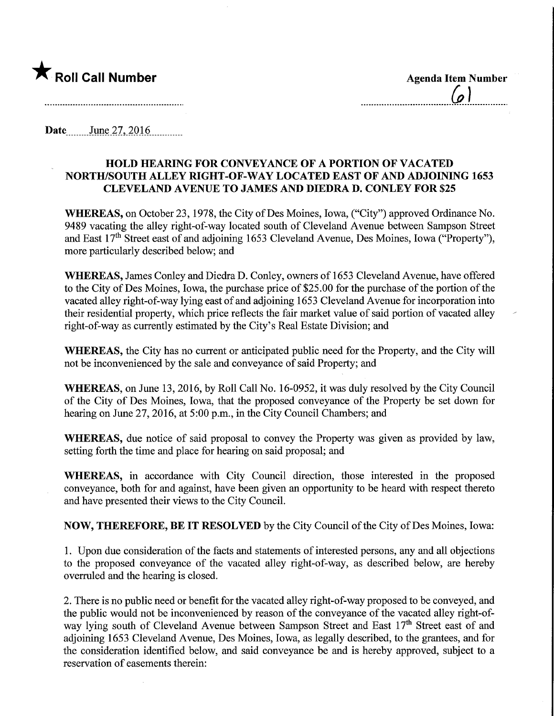

 $\mathcal{L}$ 

Date June 27, 2016

## HOLD HEARING FOR CONVEYANCE OF A PORTION OF VACATED NORTH/SOUTH ALLEY MGHT-OF-WAY LOCATED EAST OF AND ADJOINING 1653 CLEVELAND AVENUE TO JAMES AND DIEDRA D. CONLEY FOR \$25

WHEREAS, on October 23, 1978, the City of Des Moines, Iowa, ("City") approved Ordinance No. 9489 vacating the alley right-of-way located south of Cleveland Avenue between Sampson Street and East 17<sup>th</sup> Street east of and adjoining 1653 Cleveland Avenue, Des Moines, Iowa ("Property"), more particularly described below; and

WHEREAS, James Conley and Diedra D. Conley, owners of 1653 Cleveland Avenue, have offered to the City of Des Moines, Iowa, the purchase price of \$25.00 for the purchase of the portion of the vacated alley right-of-way lying east of and adjoining 1653 Cleveland Avenue for incorporation into their residential property, which price reflects the fair market value of said portion of vacated alley right-of-way as currently estimated by the City's Real Estate Division; and

WHEREAS, the City has no current or anticipated public need for the Property, and the City will not be inconvenienced by the sale and conveyance of said Property; and

WHEREAS, on June 13, 2016, by Roll Call No. 16-0952, it was duly resolved by the City Council of the City of Des Moines, Iowa, that the proposed conveyance of the Property be set down for hearing on June 27, 2016, at 5:00 p.m., in the City Council Chambers; and

WHEREAS, due notice of said proposal to convey the Property was given as provided by law, setting forth the time and place for hearing on said proposal; and

WHEREAS, in accordance with City Council direction, those interested in the proposed conveyance, both for and against, have been given an opportunity to be heard with respect thereto and have presented their views to the City Council.

NOW, THEREFORE, BE IT RESOLVED by the City Council of the City of Des Moines, Iowa:

1. Upon due consideration of the facts and statements of interested persons, any and all objections to the proposed conveyance of the vacated alley right-of-way, as described below, are hereby overruled and the hearing is closed.

2. There is no public need or benefit for the vacated alley right-of-way proposed to be conveyed, and the public would not be inconvenienced by reason of the conveyance of the vacated alley right-ofway lying south of Cleveland Avenue between Sampson Street and East 17<sup>th</sup> Street east of and adjoining 1653 Cleveland Avenue, Des Moines, Iowa, as legally described, to the grantees, and for the consideration identified below, and said conveyance be and is hereby approved, subject to a reservation of easements therein: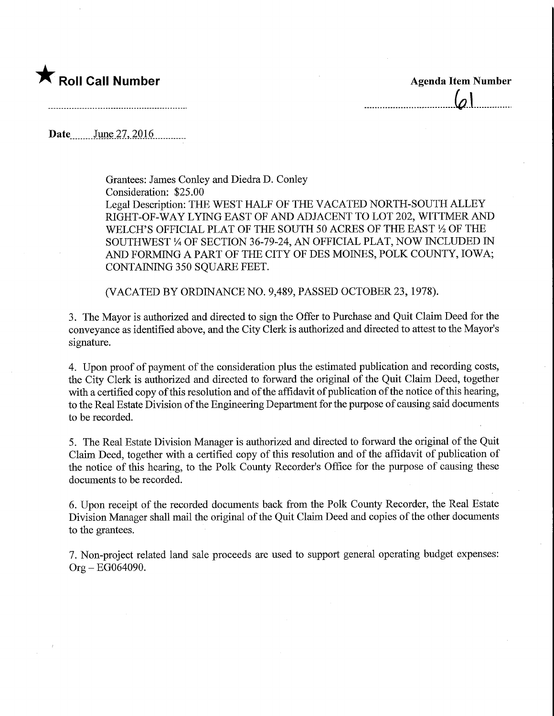## **★** Roll Call Number Agenda Item Number

 $\omega$ 

Date\_\_\_\_\_,\_June27,2016.

Grantees: James Conley and Diedra D. Conley Consideration: \$25.00 Legal Description: THE WEST HALF OF THE VACATED NORTH-SOUTH ALLEY RIGHT-OF-WAY LYING EAST OF AND ADJACENT TO LOT 202, WITTMER AND WELCH'S OFFICIAL PLAT OF THE SOUTH 50 ACRES OF THE EAST  $\frac{1}{2}$  OF THE SOUTHWEST % OF SECTION 36-79-24, AN OFFICIAL PLAT, NOW INCLUDED IN AND FORMING A PART OF THE CITY OF DES MOINES, POLK COUNTY, IOWA; CONTAINING 350 SQUARE FEET.

(VACATED BY ORDINANCE NO. 9,489, PASSED OCTOBER 23, 1978).

3. The Mayor is authorized and directed to sign the Offer to Purchase and Quit Claim Deed for the conveyance as identified above, and the City Clerk is authorized and directed to attest to the Mayor's signature.

4. Upon proof of payment of the consideration plus the estimated publication and recording costs, the City Clerk is authorized and directed to forward the original of the Quit Claim Deed, together with a certified copy of this resolution and of the affidavit of publication of the notice of this hearing, to the Real Estate Division of the Engineering Department for the purpose of causing said documents to be recorded.

5. The Real Estate Division Manager is authorized and directed to forward the original of the Quit Claim Deed, together with a certified copy of this resolution and of the affidavit of publication of the notice of this hearing, to the Polk County Recorder's Office for the purpose of causing these documents to be recorded.

6. Upon receipt of the recorded documents back from the Polk County Recorder, the Real Estate Division Manager shall mail the original of the Quit Claim Deed and copies of the other documents to the grantees.

7. Non-project related land sale proceeds are used to support general operating budget expenses: Org - EG064090.